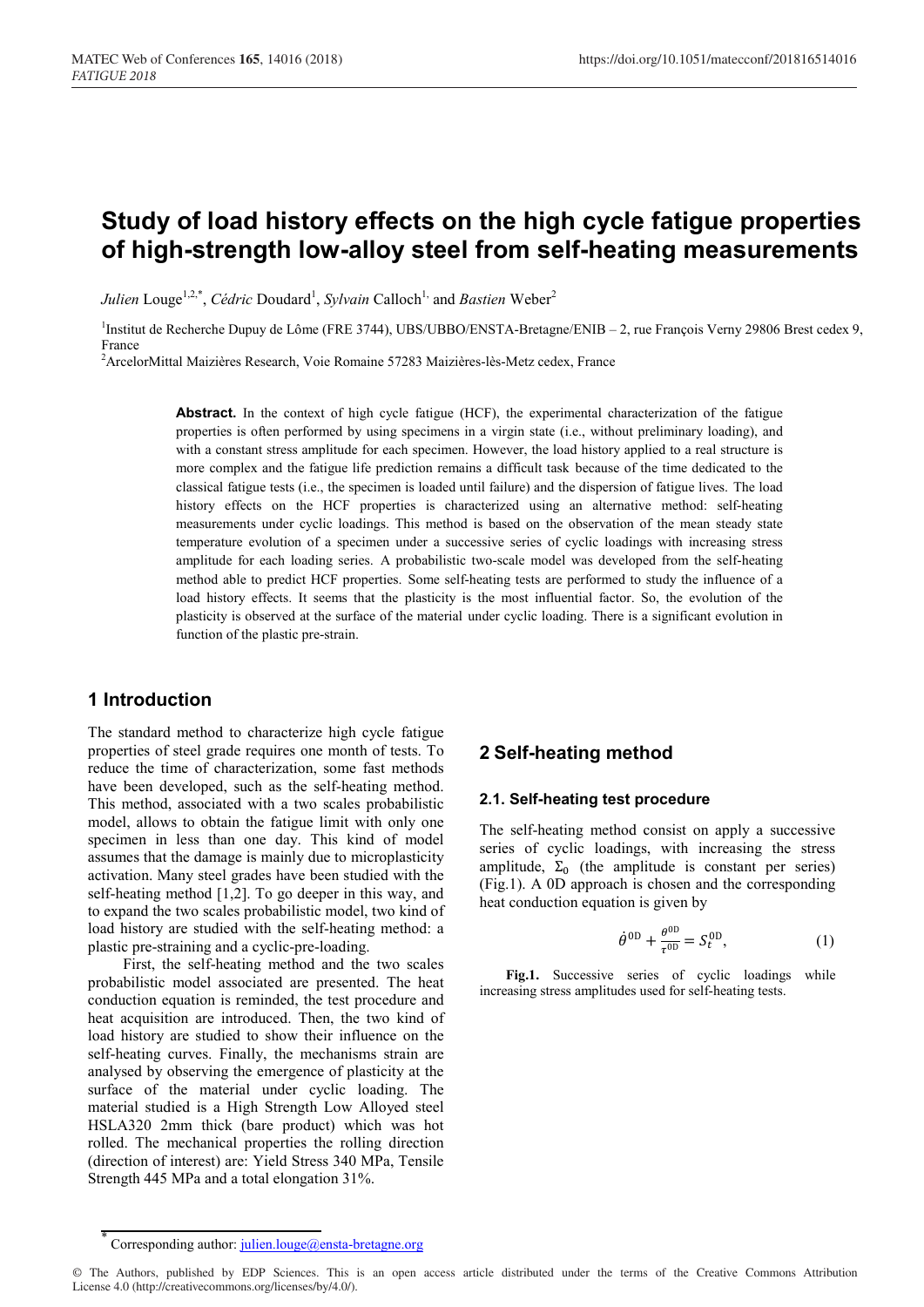# **Study of load history effects on the high cycle fatigue properties of high-strength low-alloy steel from self-heating measurements**

*Julien* Louge<sup>1,2,\*</sup>, *Cédric* Doudard<sup>1</sup>, *Sylvain* Calloch<sup>1,</sup> and *Bastien* Weber<sup>2</sup>

<sup>1</sup>Institut de Recherche Dupuy de Lôme (FRE 3744), UBS/UBBO/ENSTA-Bretagne/ENIB - 2, rue François Verny 29806 Brest cedex 9, France

2 ArcelorMittal Maizières Research, Voie Romaine 57283 Maizières-lès-Metz cedex, France

**Abstract.** In the context of high cycle fatigue (HCF), the experimental characterization of the fatigue properties is often performed by using specimens in a virgin state (i.e., without preliminary loading), and with a constant stress amplitude for each specimen. However, the load history applied to a real structure is more complex and the fatigue life prediction remains a difficult task because of the time dedicated to the classical fatigue tests (i.e., the specimen is loaded until failure) and the dispersion of fatigue lives. The load history effects on the HCF properties is characterized using an alternative method: self-heating measurements under cyclic loadings. This method is based on the observation of the mean steady state temperature evolution of a specimen under a successive series of cyclic loadings with increasing stress amplitude for each loading series. A probabilistic two-scale model was developed from the self-heating method able to predict HCF properties. Some self-heating tests are performed to study the influence of a load history effects. It seems that the plasticity is the most influential factor. So, the evolution of the plasticity is observed at the surface of the material under cyclic loading. There is a significant evolution in function of the plastic pre-strain.

### **1 Introduction**

The standard method to characterize high cycle fatigue properties of steel grade requires one month of tests. To reduce the time of characterization, some fast methods have been developed, such as the self-heating method. This method, associated with a two scales probabilistic model, allows to obtain the fatigue limit with only one specimen in less than one day. This kind of model assumes that the damage is mainly due to microplasticity activation. Many steel grades have been studied with the self-heating method [1,2]. To go deeper in this way, and to expand the two scales probabilistic model, two kind of load history are studied with the self-heating method: a plastic pre-straining and a cyclic-pre-loading.

First, the self-heating method and the two scales probabilistic model associated are presented. The heat conduction equation is reminded, the test procedure and heat acquisition are introduced. Then, the two kind of load history are studied to show their influence on the self-heating curves. Finally, the mechanisms strain are analysed by observing the emergence of plasticity at the surface of the material under cyclic loading. The material studied is a High Strength Low Alloyed steel HSLA320 2mm thick (bare product) which was hot rolled. The mechanical properties the rolling direction (direction of interest) are: Yield Stress 340 MPa, Tensile Strength 445 MPa and a total elongation 31%.

# **2 Self-heating method**

#### **2.1. Self-heating test procedure**

The self-heating method consist on apply a successive series of cyclic loadings, with increasing the stress amplitude,  $\Sigma_0$  (the amplitude is constant per series) (Fig.1). A 0D approach is chosen and the corresponding heat conduction equation is given by

$$
\dot{\theta}^{0D} + \frac{\theta^{0D}}{\tau^{0D}} = S_t^{0D},\tag{1}
$$

Fig.1. Successive series of cyclic loadings while increasing stress amplitudes used for self-heating tests.

Corresponding author: julien.louge@ensta-bretagne.org

<sup>©</sup> The Authors, published by EDP Sciences. This is an open access article distributed under the terms of the Creative Commons Attribution License 4.0 (http://creativecommons.org/licenses/by/4.0/).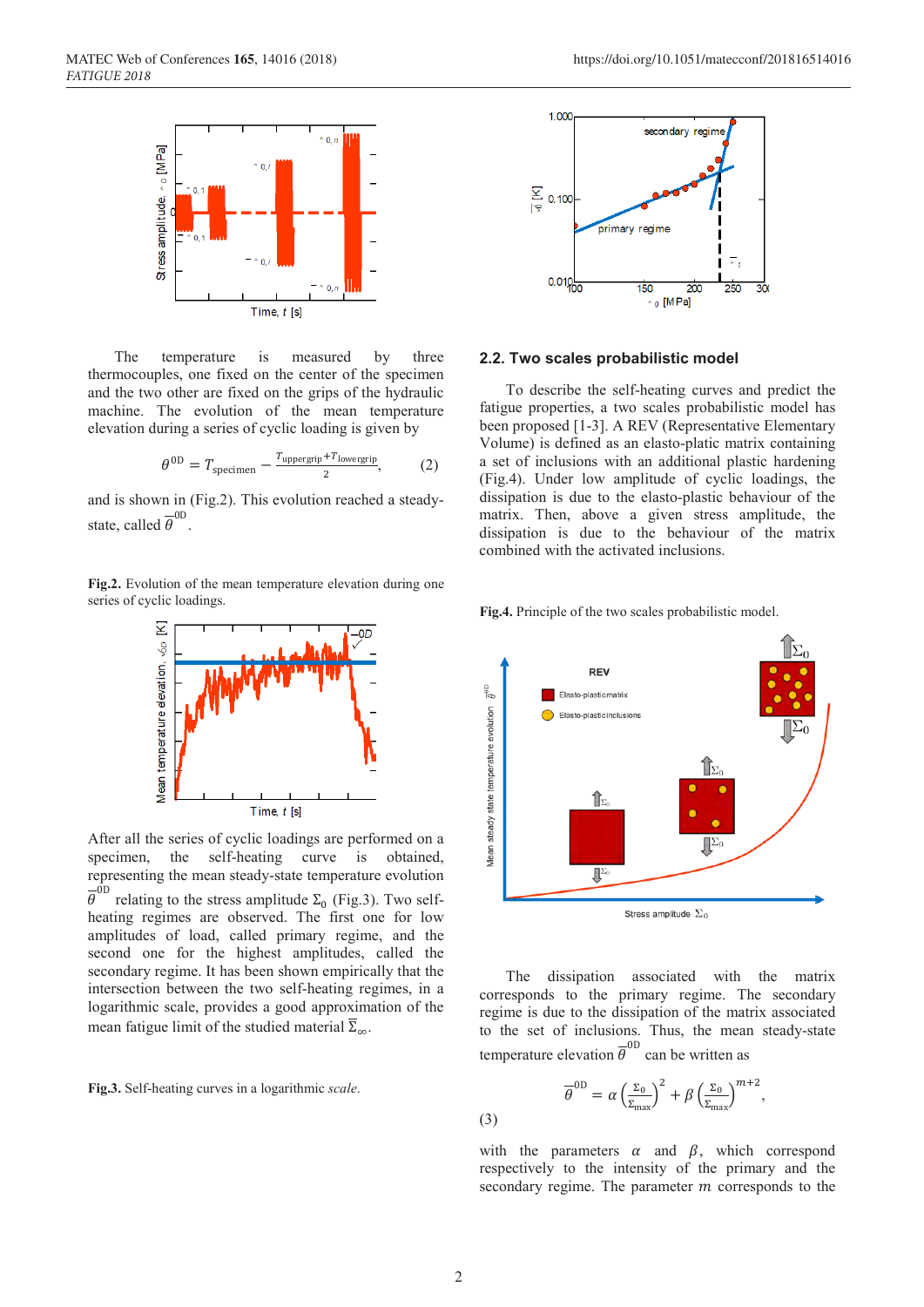

The temperature is measured by three thermocouples, one fixed on the center of the specimen and the two other are fixed on the grips of the hydraulic machine. The evolution of the mean temperature elevation during a series of cyclic loading is given by

$$
\theta^{0D} = T_{\text{specimen}} - \frac{T_{\text{uppergrip}} + T_{\text{lowergrip}}}{2},\tag{2}
$$

and is shown in (Fig.2). This evolution reached a steadystate, called  $\overline{\theta}^{\text{OD}}$ .

**Fig.2.** Evolution of the mean temperature elevation during one series of cyclic loadings.



After all the series of cyclic loadings are performed on a specimen, the self-heating curve is obtained, representing the mean steady-state temperature evolution  $\overline{\theta}^{0D}$  relating to the stress amplitude  $\Sigma_0$  (Fig.3). Two selfheating regimes are observed. The first one for low amplitudes of load, called primary regime, and the second one for the highest amplitudes, called the secondary regime. It has been shown empirically that the intersection between the two self-heating regimes, in a logarithmic scale, provides a good approximation of the mean fatigue limit of the studied material  $\overline{\Sigma}_{\infty}$ .

**Fig.3.** Self-heating curves in a logarithmic *scale*.



#### **2.2. Two scales probabilistic model**

To describe the self-heating curves and predict the fatigue properties, a two scales probabilistic model has been proposed [1-3]. A REV (Representative Elementary Volume) is defined as an elasto-platic matrix containing a set of inclusions with an additional plastic hardening (Fig.4). Under low amplitude of cyclic loadings, the dissipation is due to the elasto-plastic behaviour of the matrix. Then, above a given stress amplitude, the dissipation is due to the behaviour of the matrix combined with the activated inclusions.



**Fig.4.** Principle of the two scales probabilistic model.

The dissipation associated with the matrix corresponds to the primary regime. The secondary regime is due to the dissipation of the matrix associated to the set of inclusions. Thus, the mean steady-state temperature elevation  $\overline{\theta}^{0D}$  can be written as

$$
\overline{\theta}^{0D} = \alpha \left(\frac{z_0}{z_{\text{max}}}\right)^2 + \beta \left(\frac{z_0}{z_{\text{max}}}\right)^{m+2},
$$
\n(3)

with the parameters  $\alpha$  and  $\beta$ , which correspond respectively to the intensity of the primary and the secondary regime. The parameter  *corresponds to the* 

(3)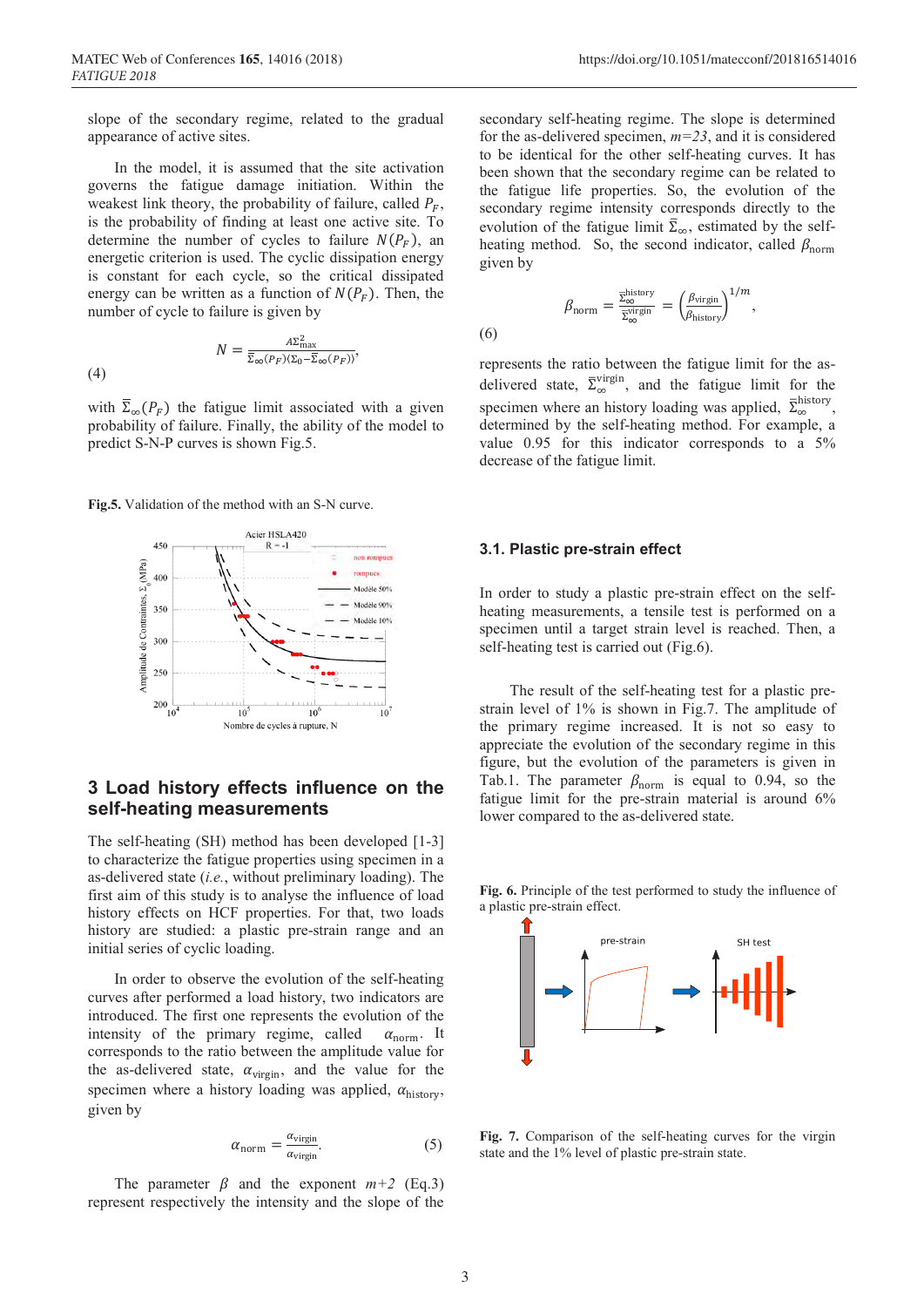slope of the secondary regime, related to the gradual appearance of active sites.

In the model, it is assumed that the site activation governs the fatigue damage initiation. Within the weakest link theory, the probability of failure, called  $P_F$ , is the probability of finding at least one active site. To determine the number of cycles to failure  $N(P<sub>F</sub>)$ , an energetic criterion is used. The cyclic dissipation energy is constant for each cycle, so the critical dissipated energy can be written as a function of  $N(P_F)$ . Then, the number of cycle to failure is given by

$$
N = \frac{A\Sigma_{\text{max}}^2}{\overline{\Sigma}_{\infty}(P_F)\langle\Sigma_0 - \overline{\Sigma}_{\infty}(P_F)\rangle},
$$
(4)

(4)

with  $\Sigma_{\infty}(P_F)$  the fatigue limit associated with a given probability of failure. Finally, the ability of the model to predict S-N-P curves is shown Fig.5.

**Fig.5.** Validation of the method with an S-N curve.



# **3 Load history effects influence on the self-heating measurements**

The self-heating (SH) method has been developed [1-3] to characterize the fatigue properties using specimen in a as-delivered state (*i.e.*, without preliminary loading). The first aim of this study is to analyse the influence of load history effects on HCF properties. For that, two loads history are studied: a plastic pre-strain range and an initial series of cyclic loading.

In order to observe the evolution of the self-heating curves after performed a load history, two indicators are introduced. The first one represents the evolution of the intensity of the primary regime, called  $\alpha_{\text{norm}}$ . It corresponds to the ratio between the amplitude value for the as-delivered state,  $\alpha_{\text{virgin}}$ , and the value for the specimen where a history loading was applied,  $\alpha_{\text{history}}$ , given by

$$
\alpha_{\text{norm}} = \frac{\alpha_{\text{virgin}}}{\alpha_{\text{virgin}}}. \tag{5}
$$

The parameter  $\beta$  and the exponent  $m+2$  (Eq.3) represent respectively the intensity and the slope of the ,

secondary self-heating regime. The slope is determined for the as-delivered specimen, *m=23*, and it is considered to be identical for the other self-heating curves. It has been shown that the secondary regime can be related to the fatigue life properties. So, the evolution of the secondary regime intensity corresponds directly to the evolution of the fatigue limit  $\overline{\Sigma}_{\infty}$ , estimated by the selfheating method. So, the second indicator, called  $\beta_{\text{norm}}$ given by

$$
\beta_{\text{norm}} = \frac{\overline{\Sigma_{\infty}^{\text{history}}}}{\overline{\Sigma_{\infty}^{\text{origin}}}} = \left(\frac{\beta_{\text{virgin}}}{\beta_{\text{history}}}\right)^{1/m}
$$

(6)

represents the ratio between the fatigue limit for the asdelivered state,  $\bar{\Sigma}_{\infty}^{\text{virgin}}$ , and the fatigue limit for the specimen where an history loading was applied,  $\bar{\Sigma}_{\infty}^{\text{history}},$ determined by the self-heating method. For example, a value 0.95 for this indicator corresponds to a 5% decrease of the fatigue limit.

#### **3.1. Plastic pre-strain effect**

In order to study a plastic pre-strain effect on the selfheating measurements, a tensile test is performed on a specimen until a target strain level is reached. Then, a self-heating test is carried out (Fig.6).

 The result of the self-heating test for a plastic prestrain level of 1% is shown in Fig.7. The amplitude of the primary regime increased. It is not so easy to appreciate the evolution of the secondary regime in this figure, but the evolution of the parameters is given in Tab.1. The parameter  $\beta_{\text{norm}}$  is equal to 0.94, so the fatigue limit for the pre-strain material is around 6% lower compared to the as-delivered state.

**Fig. 6.** Principle of the test performed to study the influence of a plastic pre-strain effect.



**Fig. 7.** Comparison of the self-heating curves for the virgin state and the 1% level of plastic pre-strain state.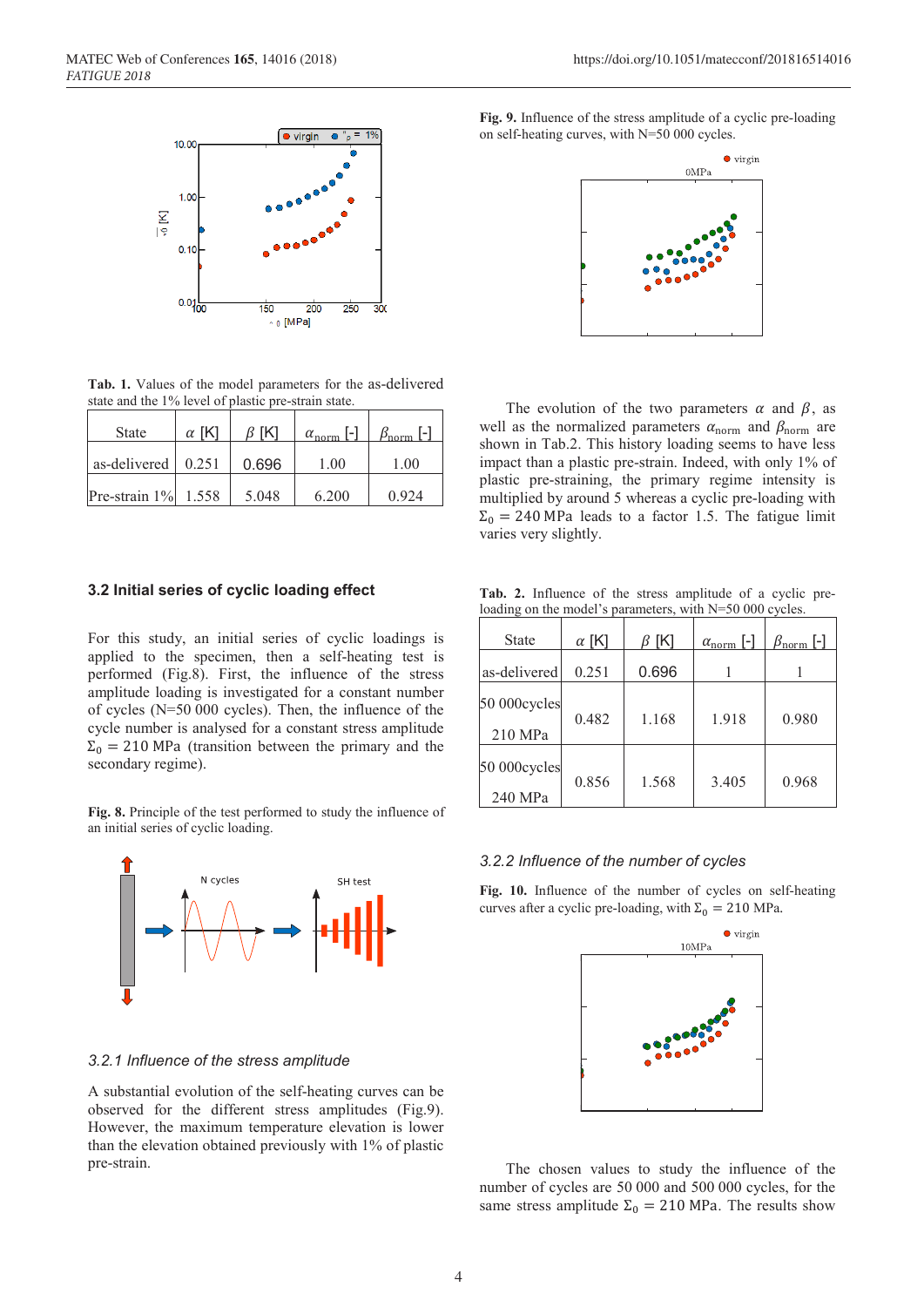

**Tab. 1.** Values of the model parameters for the as-delivered state and the 1% level of plastic pre-strain state.

| <b>State</b>           | $\alpha$ [K] | -IK1  | $\alpha_{\text{norm}}$ [-] | $\beta_{\text{norm}}$ [-] |
|------------------------|--------------|-------|----------------------------|---------------------------|
| as-delivered           | 0.251        | 0.696 | 1.00                       | 1.00                      |
| Pre-strain $1\%$ 1.558 |              | 5.048 | 6.200                      | 0.924                     |

### **3.2 Initial series of cyclic loading effect**

For this study, an initial series of cyclic loadings is applied to the specimen, then a self-heating test is performed (Fig.8). First, the influence of the stress amplitude loading is investigated for a constant number of cycles (N=50 000 cycles). Then, the influence of the cycle number is analysed for a constant stress amplitude  $\Sigma_0 = 210$  MPa (transition between the primary and the secondary regime).

**Fig. 8.** Principle of the test performed to study the influence of an initial series of cyclic loading.



### *3.2.1 Influence of the stress amplitude*

A substantial evolution of the self-heating curves can be observed for the different stress amplitudes (Fig.9). However, the maximum temperature elevation is lower than the elevation obtained previously with 1% of plastic pre-strain.

**Fig. 9.** Influence of the stress amplitude of a cyclic pre-loading on self-heating curves, with N=50 000 cycles.



The evolution of the two parameters  $\alpha$  and  $\beta$ , as well as the normalized parameters  $\alpha_{\text{norm}}$  and  $\beta_{\text{norm}}$  are shown in Tab.2. This history loading seems to have less impact than a plastic pre-strain. Indeed, with only 1% of plastic pre-straining, the primary regime intensity is multiplied by around 5 whereas a cyclic pre-loading with  $\Sigma_0 = 240$  MPa leads to a factor 1.5. The fatigue limit varies very slightly.

**Tab. 2.** Influence of the stress amplitude of a cyclic preloading on the model's parameters, with N=50 000 cycles.

| <b>State</b>            | $\alpha$ [K] | $\beta$ [K] | $\alpha_{\text{norm}}$ [-] | $\beta_{\rm norm}$ [-] |
|-------------------------|--------------|-------------|----------------------------|------------------------|
| as-delivered            | 0.251        | 0.696       |                            |                        |
| 50 000cycles<br>210 MPa | 0.482        | 1.168       | 1.918                      | 0.980                  |
| 50 000cycles<br>240 MPa | 0.856        | 1.568       | 3.405                      | 0.968                  |

### *3.2.2 Influence of the number of cycles*

**Fig. 10.** Influence of the number of cycles on self-heating curves after a cyclic pre-loading, with  $\Sigma_0 = 210$  MPa.



The chosen values to study the influence of the number of cycles are 50 000 and 500 000 cycles, for the same stress amplitude  $\Sigma_0 = 210$  MPa. The results show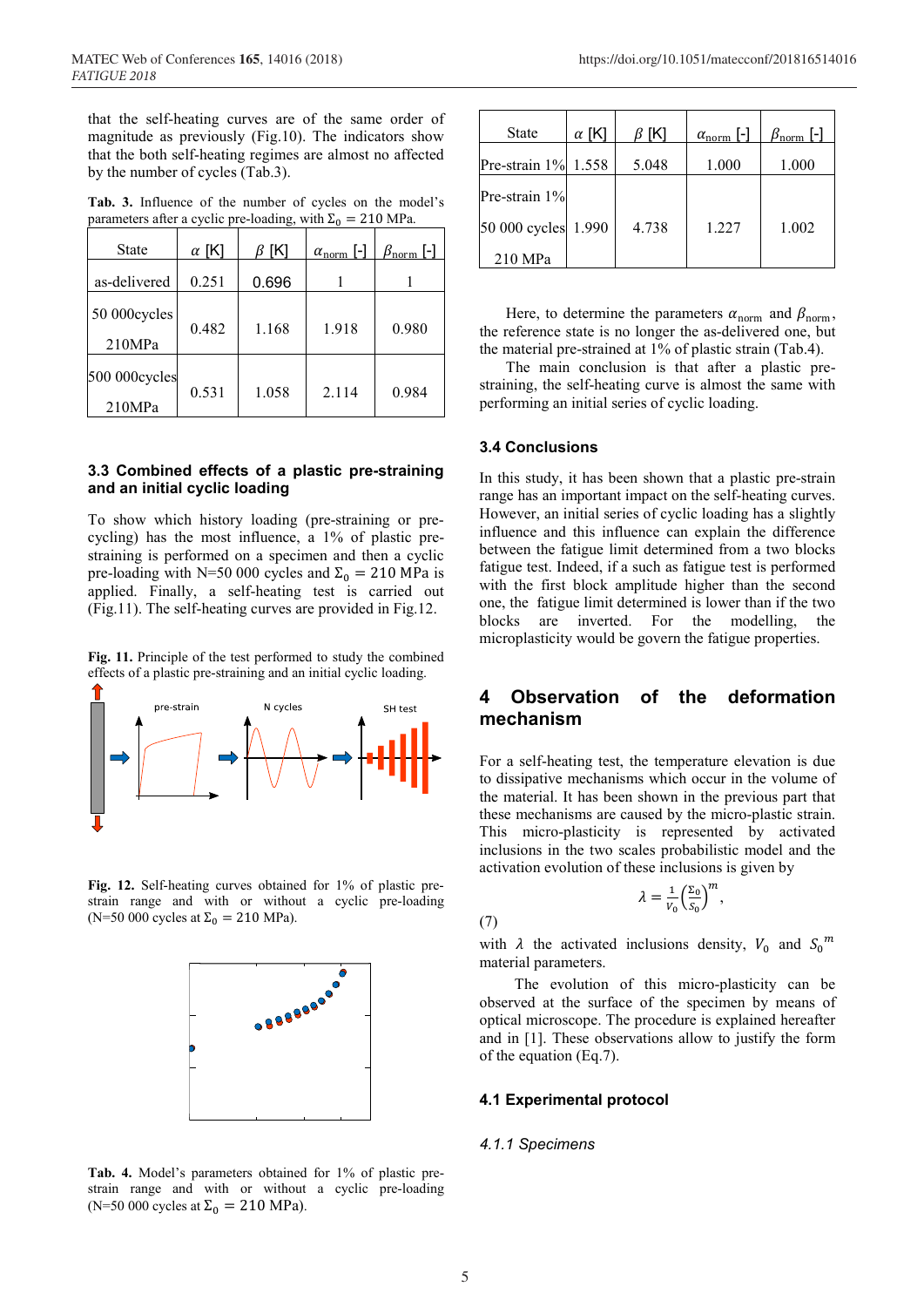that the self-heating curves are of the same order of magnitude as previously (Fig.10). The indicators show that the both self-heating regimes are almost no affected by the number of cycles (Tab.3).

| <b>State</b>            | $\alpha$ [K] | $\beta$ [K] | $\alpha_{\text{norm}}$ [-] | $\beta_{\rm norm}$ [-] |
|-------------------------|--------------|-------------|----------------------------|------------------------|
| as-delivered            | 0.251        | 0.696       |                            |                        |
| 50 000cycles<br>210MPa  | 0.482        | 1.168       | 1.918                      | 0.980                  |
| 500 000cycles<br>210MPa | 0.531        | 1.058       | 2.114                      | 0.984                  |

**Tab. 3.** Influence of the number of cycles on the model's parameters after a cyclic pre-loading, with  $\Sigma_0 = 210$  MPa.

### **3.3 Combined effects of a plastic pre-straining and an initial cyclic loading**

To show which history loading (pre-straining or precycling) has the most influence, a 1% of plastic prestraining is performed on a specimen and then a cyclic pre-loading with N=50 000 cycles and  $\Sigma_0 = 210$  MPa is applied. Finally, a self-heating test is carried out (Fig.11). The self-heating curves are provided in Fig.12.

**Fig. 11.** Principle of the test performed to study the combined effects of a plastic pre-straining and an initial cyclic loading.



**Fig. 12.** Self-heating curves obtained for 1% of plastic prestrain range and with or without a cyclic pre-loading (N=50 000 cycles at  $\Sigma_0 = 210$  MPa).



**Tab. 4.** Model's parameters obtained for 1% of plastic prestrain range and with or without a cyclic pre-loading (N=50 000 cycles at  $\Sigma_0 = 210 \text{ MPa}$ ).

| <b>State</b>  | $\alpha$ [K] | $\beta$ [K] | $\alpha_{\text{norm}}$ [-] | $\beta_{\rm norm}$ [-] |
|---------------|--------------|-------------|----------------------------|------------------------|
| Pre-strain 1% | 1.558        | 5.048       | 1.000                      | 1.000                  |
| Pre-strain 1% |              |             |                            |                        |
| 50 000 cycles | 1.990        | 4.738       | 1.227                      | 1.002                  |
| 210 MPa       |              |             |                            |                        |

Here, to determine the parameters  $\alpha_{\text{norm}}$  and  $\beta_{\text{norm}}$ , the reference state is no longer the as-delivered one, but the material pre-strained at 1% of plastic strain (Tab.4).

The main conclusion is that after a plastic prestraining, the self-heating curve is almost the same with performing an initial series of cyclic loading.

#### **3.4 Conclusions**

In this study, it has been shown that a plastic pre-strain range has an important impact on the self-heating curves. However, an initial series of cyclic loading has a slightly influence and this influence can explain the difference between the fatigue limit determined from a two blocks fatigue test. Indeed, if a such as fatigue test is performed with the first block amplitude higher than the second one, the fatigue limit determined is lower than if the two blocks are inverted. For the modelling, the microplasticity would be govern the fatigue properties.

# **4 Observation of the deformation mechanism**

For a self-heating test, the temperature elevation is due to dissipative mechanisms which occur in the volume of the material. It has been shown in the previous part that these mechanisms are caused by the micro-plastic strain. This micro-plasticity is represented by activated inclusions in the two scales probabilistic model and the activation evolution of these inclusions is given by

$$
\lambda = \frac{1}{V_0} \left( \frac{\Sigma_0}{S_0} \right)
$$

 $\boldsymbol{m}$ ,

(7)

with  $\lambda$  the activated inclusions density,  $V_0$  and  $S_0^m$ material parameters.

The evolution of this micro-plasticity can be observed at the surface of the specimen by means of optical microscope. The procedure is explained hereafter and in [1]. These observations allow to justify the form of the equation (Eq.7).

#### **4.1 Experimental protocol**

#### *4.1.1 Specimens*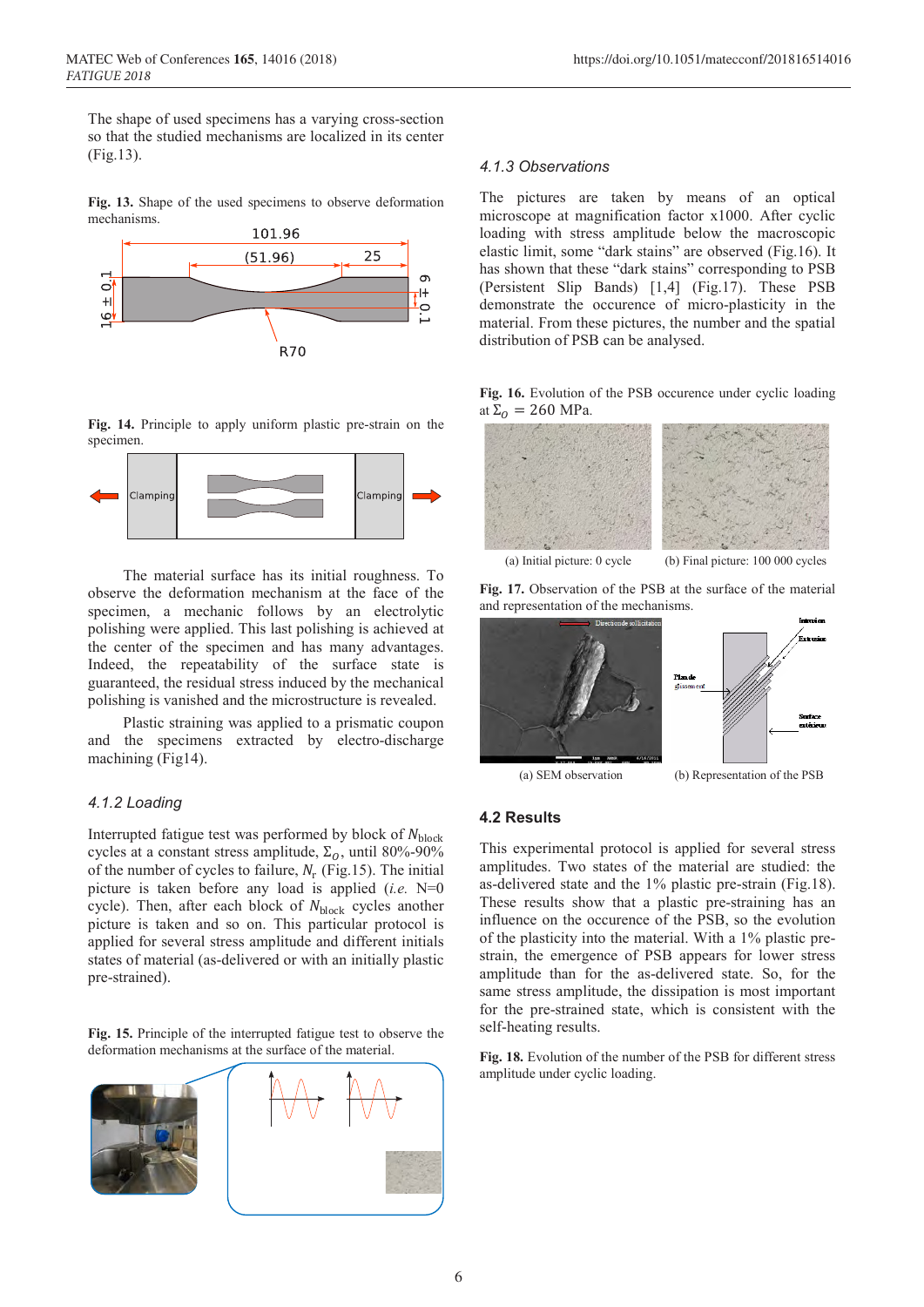The shape of used specimens has a varying cross-section so that the studied mechanisms are localized in its center (Fig.13).

**Fig. 13.** Shape of the used specimens to observe deformation mechanisms.



**Fig. 14.** Principle to apply uniform plastic pre-strain on the specimen.



The material surface has its initial roughness. To observe the deformation mechanism at the face of the specimen, a mechanic follows by an electrolytic polishing were applied. This last polishing is achieved at the center of the specimen and has many advantages. Indeed, the repeatability of the surface state is guaranteed, the residual stress induced by the mechanical polishing is vanished and the microstructure is revealed.

Plastic straining was applied to a prismatic coupon and the specimens extracted by electro-discharge machining (Fig14).

### *4.1.2 Loading*

Interrupted fatigue test was performed by block of  $N_{\text{block}}$ cycles at a constant stress amplitude,  $\Sigma_0$ , until 80%-90% of the number of cycles to failure,  $N_r$  (Fig.15). The initial picture is taken before any load is applied (*i.e.* N=0 cycle). Then, after each block of  $N_{\text{block}}$  cycles another picture is taken and so on. This particular protocol is applied for several stress amplitude and different initials states of material (as-delivered or with an initially plastic pre-strained).

**Fig. 15.** Principle of the interrupted fatigue test to observe the deformation mechanisms at the surface of the material.



#### *4.1.3 Observations*

The pictures are taken by means of an optical microscope at magnification factor x1000. After cyclic loading with stress amplitude below the macroscopic elastic limit, some "dark stains" are observed (Fig.16). It has shown that these "dark stains" corresponding to PSB (Persistent Slip Bands) [1,4] (Fig.17). These PSB demonstrate the occurence of micro-plasticity in the material. From these pictures, the number and the spatial distribution of PSB can be analysed.

#### **Fig. 16.** Evolution of the PSB occurence under cyclic loading at  $\Sigma_0 = 260$  MPa.









(a) SEM observation (b) Representation of the PSB

#### **4.2 Results**

This experimental protocol is applied for several stress amplitudes. Two states of the material are studied: the as-delivered state and the 1% plastic pre-strain (Fig.18). These results show that a plastic pre-straining has an influence on the occurence of the PSB, so the evolution of the plasticity into the material. With a 1% plastic prestrain, the emergence of PSB appears for lower stress amplitude than for the as-delivered state. So, for the same stress amplitude, the dissipation is most important for the pre-strained state, which is consistent with the self-heating results.

**Fig. 18.** Evolution of the number of the PSB for different stress amplitude under cyclic loading.